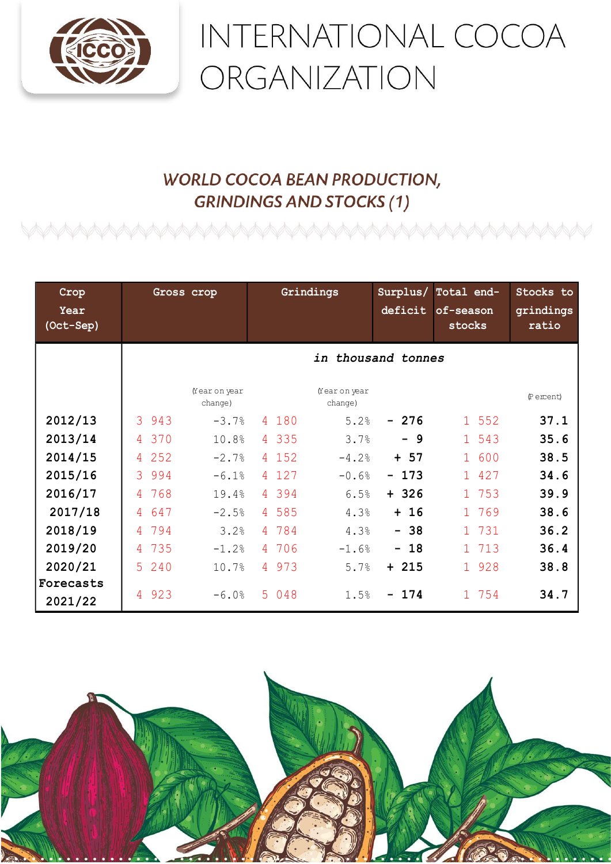

## INTERNATIONAL COCOA ORGANIZATION

## **WORLD COCOA BEAN PRODUCTION, GRINDINGS AND STOCKS (1)**

| Crop<br>Year<br>(Oct-Sep) | Gross crop                                    | Grindings               | Surplus/<br>Total end-<br>deficit<br>of-season<br>stocks | Stocks to<br>grindings<br>ratio |
|---------------------------|-----------------------------------------------|-------------------------|----------------------------------------------------------|---------------------------------|
|                           | in thousand tonnes                            |                         |                                                          |                                 |
|                           | Year on year<br>change)                       | Year on year<br>change) |                                                          | (Percent)                       |
| 2012/13                   | $\mathcal{S}_{\mathcal{S}}$<br>943<br>$-3.7%$ | 4 180<br>5.2%           | 1 552<br>$-276$                                          | 37.1                            |
| 2013/14                   | 370<br>10.8%<br>$\overline{4}$                | 4 3 3 5<br>3.7%         | 1 543<br>$-9$                                            | 35.6                            |
| 2014/15                   | 252<br>$-2.7%$<br>4                           | 4 152<br>$-4.2%$        | 1 600<br>$+ 57$                                          | 38.5                            |
| 2015/16                   | 3 9 9 4<br>$-6.1%$                            | 4 127<br>$-0.6%$        | 1 427<br>$-173$                                          | 34.6                            |
| 2016/17                   | 768<br>19.4%<br>$\overline{4}$                | 4 394<br>6.5%           | $+326$<br>1 753                                          | 39.9                            |
| 2017/18                   | 647<br>4<br>$-2.5%$                           | 4 585<br>4.3%           | $+ 16$<br>1 769                                          | 38.6                            |
| 2018/19                   | 794<br>3.2%<br>4                              | 4 784<br>4.3%           | $-38$<br>1 731                                           | 36.2                            |
| 2019/20                   | 735<br>$-1.2%$<br>$\overline{4}$              | 4 706<br>$-1.6%$        | $-18$<br>1 713                                           | 36.4                            |
| 2020/21                   | 5 240<br>10.7%                                | 4 973<br>5.7%           | 1 928<br>$+ 215$                                         | 38.8                            |
| Forecasts<br>2021/22      | 923<br>$-6.0%$<br>$\overline{A}$              | 5 048<br>1.5%           | $-174$<br>1 754                                          | 34.7                            |